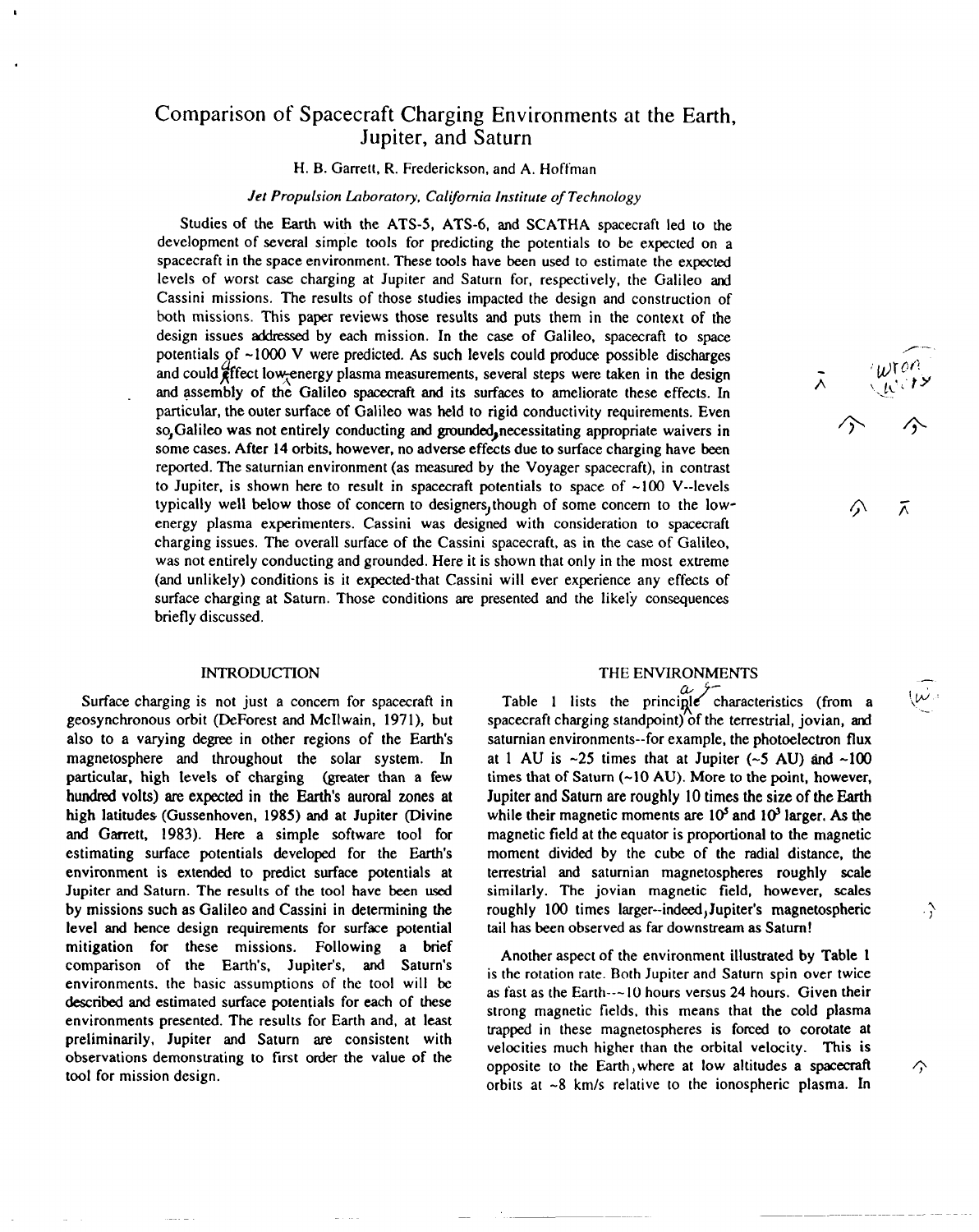# Comparison of Spacecraft Charging Environments at the Earth, Jupiter, and Saturn

#### H. B. Garrett, R. Frederickson, and A. Hoffman

## *Jet* Propulsion Laboratory, California Institute of Technology

Studies of the Earth with the ATS-5, ATS-6, and SCATHA spacecraft led to the development of several simple tools for predicting the potentials to be expected on a spacecraft in the space environment. These tools have been used to estimate the expected levels of worst case charging at Jupiter and Saturn for, respectively, the Galileo and Cassini missions. The results of those studies impacted the design and construction of both missions. This paper reviews those results and puts them in the context of the design issues addmswd by each mission. *In the case* of Galileo, spacecraft to space potentials of  $~1000$  V were predicted. As such levels could produce possible discharges and could  $\frac{d}{dt}$  ffect low-energy plasma measurements, several steps were taken in the design and assembly of the Galileo spacecraft and its surfaces to ameliorate these effects. In particular, the outer surface of Galileo was held to rigid conductivity requirements. Even so Galileo was not entirely conducting and grounded, necessitating appropriate waivers in some cases. After 14 orbits, however, no adverse effects due to surface charging have been reported. The satumian environment (as measured by the Voyager spacecraft), in contrast to Jupiter, is shown here to result in spacecraft potentials to space of  $\sim$ 100 V--levels typically well below those of concern to designers,though of some concern to the lowenergy plasma experimenters. Cassini was designed with consideration to spacecraft charging issues. The overall surface of the Cassini spacecraft, as in the case of Galileo, was not entirely conducting and grounded. Here it is shown that only in the most extreme (and unlikely) conditions is it expected-that Cassini will ever experience any effects of surface charging at Saturn. Those conditions are presented and the likely consequences briefly discussed,

#### INTRODUCTION

Surface charging is not just a concern for spacecraft in geosynchronous orbit (DeForest and McIlwain, 1971), but also to a varying degree in other regions of the Earth's magnetosphere and throughout the solar system. In particular, high levels of charging (greater than a few hundred volts) are expected in the Earth's auroral zones at high latitudes (Gussenhoven, 1985) and at Jupiter (Divine and Garrett, 1983). Here a simple software tool for estimating surface potentials developed for the Earth's environment is extended to predict surface potentials at Jupiter and Saturn. The results of the tool have been used by missions such as Galileo and Cassini in determining the level and hence design requirements for surface potential mitigation for these missions. Following a brief comparison of the Earth's, Jupiter's, and Saturn's environments. the basic assumptions of the tool will be described and estimated surface potentials for each of these environments presented. The results for Earth and, at least preliminarily, Jupiter and Saturn are consistent with observations demonstrating to first order the value of the tool for mission design.

#### THE ENVIRONMENTS

Table 1 lists the principle characteristics (from a  $\mathcal{W}$ spacecraft charging standpoint) of the terrestrial, jovian, and satumian environments--for example, the photoelectron flux at 1 AU is  $\sim$ 25 times that at Jupiter ( $\sim$ 5 AU) and  $\sim$ 100 times that of Saturn  $(-10 \text{ AU})$ . More to the point, however, Jupiter and Saturn are roughly 10 times the size of the Earth while their magnetic moments are  $10<sup>5</sup>$  and  $10<sup>3</sup>$  larger. As the magnetic field at the equator is proportional to the magnetic moment divided by the cube of the radial distance, the terrestrial and satumian magnetospheres roughly scale similarly. The jovian magnetic field, however, scales roughly 100 times larger-indeed) Jupiter's magnetospheric tail has been observed as far downstream as Saturn !

Another aspect of the environment illustrated by Table 1 is the rotation rate. Both Jupiter and Saturn spin over twice as fast as the Earth---10 hours versus 24 hours. Given their strong magnetic fields, this means that the cold plasma trapped in these magnetospheres is forced to corotate at velocities much higher than the orbital velocity. This is opposite to the Earth, where at low altitudes a spacecraft  $\Diamond$ orbits at -8 km/s relative to the ionospheric plasma. In

Ã

—

 $\cdot$ 

 $\lambda$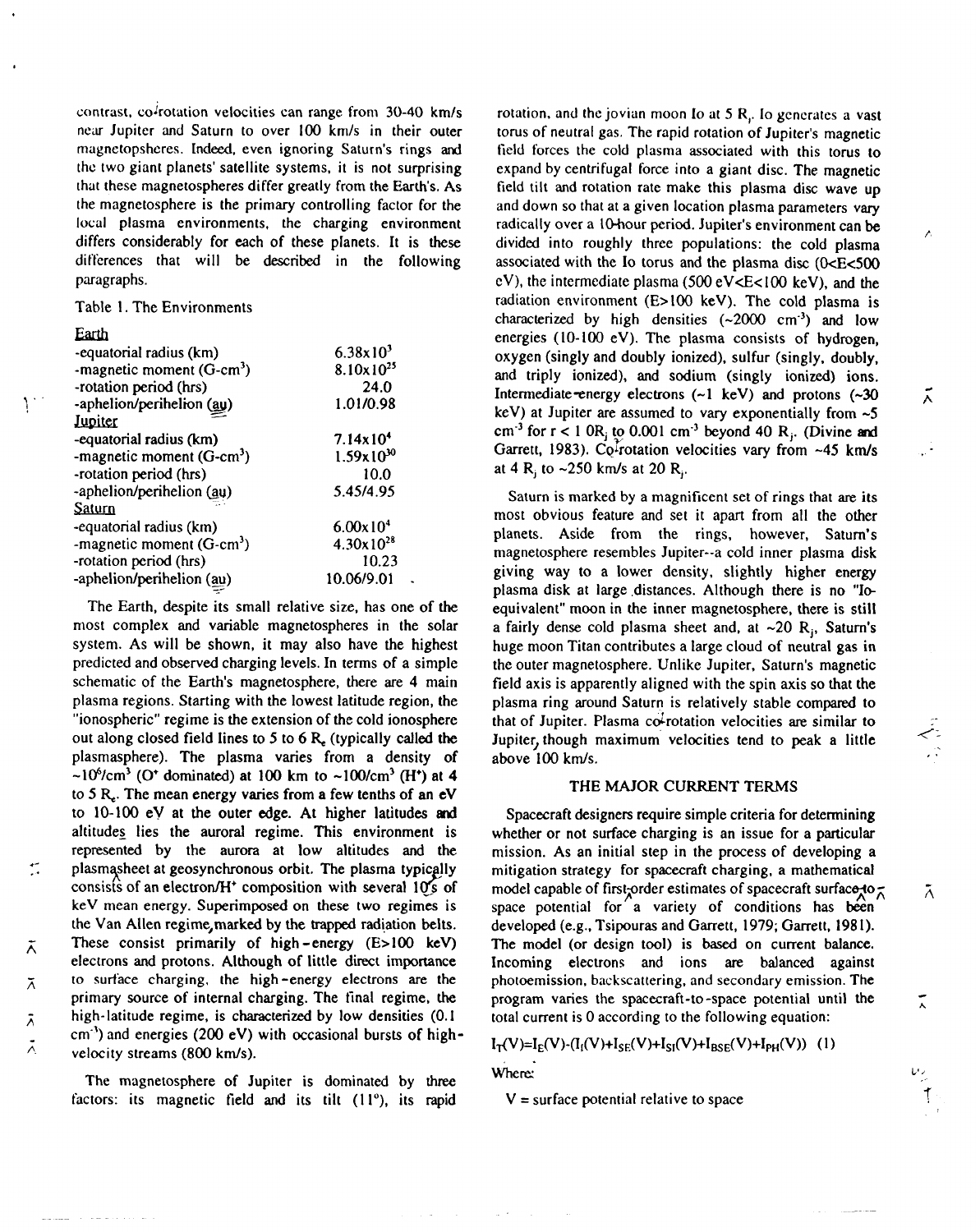contrast, co<sup>2</sup>rotation velocities can range from 30-40 km/s near Jupiter and Saturn to over 100 km/s in their outer mugnetopshcres. Indeed, even ignoring Saturn's rings and the two giant planets' satellite systems, it is not surprising thut these magnetospheres differ greatly from the Earth's, As the magnetosphere is the primary controlling factor for the local plasma environments, the charging environment differs considerably for each of these planets. It is these differences that will be described in the following paragraphs.

Table 1. The Environments

## Earth

+-

Ā

 $\bar{\wedge}$ 

 $\lambda$ 

| -equatorial radius (km)     | $6.38 \times 10^{3}$  |
|-----------------------------|-----------------------|
| -magnetic moment $(G-cm^3)$ | $8.10 \times 10^{25}$ |
| -rotation period (hrs)      | 24.0                  |
| -aphelion/perihelion (au)   | 1.01/0.98             |
| <u>Jupiter</u>              |                       |
| -equatorial radius (km)     | $7.14 \times 10^{4}$  |
| -magnetic moment $(G-cm^3)$ | $1.59x10^{30}$        |
| -rotation period (hrs)      | 10.0                  |
| -aphelion/perihelion (au)   | 5.45/4.95             |
| Saturn                      |                       |
| -equatorial radius (km)     | $6.00 \times 10^{4}$  |
| -magnetic moment $(G-cm^3)$ | $4.30x10^{28}$        |
| -rotation period (hrs)      | 10.23                 |
| -aphelion/perihelion (au)   | 10.06/9.01            |
|                             |                       |

The Earth, despite its small relative size, has one of the most complex and variable magnetospheres in the solar system. As will be shown, it may also have the highest predicted and observed charging levels. In terms of a simple schematic of the Earth's magnetosphere, there are 4 main plasma regions. Starting with the lowest latitude region, the "ionospheric" regime is the extension of the cold ionosphere out along closed field lines to 5 to 6  $R_{\epsilon}$  (typically called the plasmasphere). The plasma varies from a density of  $\sim 10^6$ /cm<sup>3</sup> (O<sup>+</sup> dominated) at 100 km to  $\sim 100$ /cm<sup>3</sup> (H<sup>+</sup>) at 4 to 5  $R<sub>e</sub>$ . The mean energy varies from a few tenths of an eV to  $10-100$  eV at the outer edge. At higher latitudes and altitudes lies the auroral regime. This environment is represented by the aurora at low altitudes and the plasmasheet at geosynchronous orbit. The plasma typically consists of an electron/H<sup>+</sup> composition with several  $10$ /s of keV mean energy. Superimposed on these two regimes is the Van Allen regime, marked by the trapped radiation belts. These consist primarily of high -energy (E>IOO kev) electrons and protons. Although of little direct importance to surtace charging, the high-energy electrons are the primary source of internal charging. The final regime, the high-latitude regime, is characterized by low densities (O.1  $cm<sup>-3</sup>$ ) and energies (200 eV) with occasional bursts of high- $\lambda$  velocity streams (800 km/s).

The magnetosphere of Jupiter is dominated by three factors: its magnetic field and its tilt  $(11^{\circ})$ , its rapid

rotation, and the jovian moon Io at  $5 R<sub>1</sub>$ . Io generates a vast torus of neutral gas. The rapid rotation of Jupiter's magnetic field forces the cold plasma associated with this torus to expand by centrifugal force into a giant disc. The magnetic field tilt and rotation rate make this plasma disc wave up and down so that at a given location plasma parameters vary radically over a 10-hour period. Jupiter's environment can be divided into roughly three populations: the cold plasma associated with the Io torus and the plasma disc  $(0 < E < 500)$  $eV$ ), the intermediate plasma (500  $eV < E < 100$  keV), and the radiation environment (E> 100 keV). The cold plasma is characterized by high densities  $(-2000 \text{ cm}^3)$  and low energies (10- 100 eV). The plasma consists of hydrogen, oxygen (singly and doubly ionized), sulfur (singly, doubly, and triply ionized), and sodium (singly ionized) ions. Intermediate-energy electrons (~1 keV) and protons (~30  $\overrightarrow{\lambda}$ keV) at Jupiter are assumed to vary exponentially from -5 cm<sup>-3</sup> for  $r < 1$  OR<sub>i</sub> to 0.001 cm<sup>-3</sup> beyond 40 R<sub>i</sub>. (Divine and Garrett, 1983). Co<sup>I</sup>rotation velocities vary from  $-45$  km/s at 4 R<sub>i</sub>to  $\sim$  250 km/s at 20 R<sub>i</sub>.

Saturn is marked by a magnificent set of rings that are its most obvious feature and set it apart from all the other planets. Aside from the rings, however, Saturn's magnetosphere resembles Jupiter--a cold inner plasma disk giving way to a lower density, slightly higher energy plasma disk at large distances. Although there is no "Ioequivalent" moon in the inner magnetosphere, there is still a fairly dense cold plasma sheet and, at  $\sim$ 20 R<sub>i</sub>, Saturn's huge moon Titan contributes a large cloud of neutral gas in the outer magnetosphere. Unlike Jupiter, Saturn's magnetic field axis is apparently aligned with the spin axis so that the plasma ring around Saturn is relatively stable compared to that of Jupiter. Plasma co-rotation velocities are similar to Jupiter, though maximum velocities tend to peak a little above 100 km/s.

### THE MAJOR CURRENT TERMS

Spacecraft designers require simple criteria for determining whether or not surface charging is an issue for a particular mission. As an initial step in the process of developing a mitigation strategy for spacecraft charging, a mathematical model capable of first order estimates of spacecraft surface to  $\bar{\wedge}$   $\bar{\wedge}$ space potential for a variety of conditions has been developed (e.g., Tsipouras and Garrett, 1979; Garrett, 1981). The model (or design tool) is based on current balance. Incoming electrons and ions are balanced against photoemission, backscattering, and secondary emission. The program varies the spacecraft-to-space potential until the  $\zeta$ total current is Oaccording to the following equation:

# $I_T(V)=I_E(V)\cdot (I_I(V)+I_{SE}(V)+I_{SI}(V)+I_{BSE}(V)+I_{PH}(V))$  (1)

Where:

 $V =$  surface potential relative to space

**La/**

f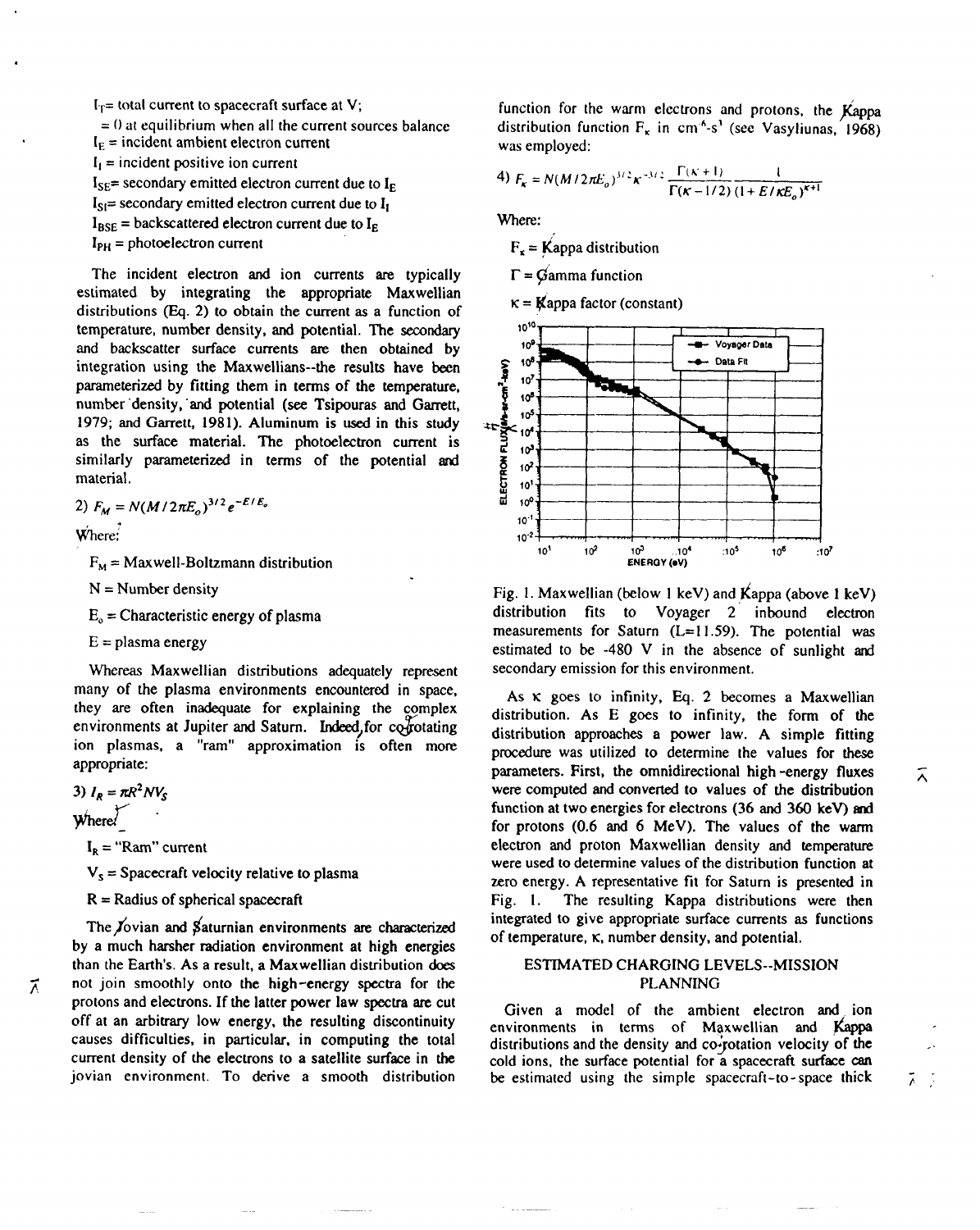$I_T$ = total current to spacecraft surface at V;  $= 0$  at equilibrium when all the current sources balance  $I<sub>F</sub>$  = incident ambient electron current  $I_i$  = incident positive ion current  $I_{SE}$ = secondary emitted electron current due to  $I_{E}$  $I_{SI}$ = secondary emitted electron current due to  $I_I$  $I_{BSE}$  = backscattered electron current due to  $I_{E}$ 

 $I_{PH}$  = photoelectron current

The incident electron and ion currents are typically estimated by integrating the appropriate Maxwellian distributions  $(Eq. 2)$  to obtain the current as a function of temperature, number density, and potential. The secondary and backscatter surface currents are then obtained by integration using the Maxwellians--the results have been parameterized by fitting them in terms of the temperature, number "density, "and potential (see Tsipouras and Garrett, 1979; and Garrett, 1981). Aluminum is used in this study as the surface material. The photoelectron current is similarly parameterized in terms of the potential and material.

2)  $F_M = N(M/2\pi E_o)^{3/2}e^{-E/E_o}$ 

Where:

.

 $F_M =$  Maxwell-Boltzmann distribution

 $N =$  Number density

 $E<sub>o</sub>$  = Characteristic energy of plasma

 $E =$  plasma energy

Whereas Maxwellian distributions adequately represent many of the plasma environments encountered in space, they are often inadequate for explaining the complex environments at Jupiter and Saturn. Indeed, for co-rotating ion plasmas, a "ram" approximation is often more appropriate:

3)  $I_R = \pi R^2 N V_S$ 

Where  $\angle$ 

 $I_R$  = "Ram" current

 $V_s$  = Spacecraft velocity relative to plasma

 $R =$  Radius of spherical spacecraft

The Jovian and Saturnian environments are characterized by a much harsher radiation environment at high energies than the Earth's. As a result, a Maxwellian distribution does not join smoothly onto the high-energy spectra for the protons and electrons. If the latter power law spectra are cut off at an arbitrary low energy, the resulting discontinuity causes difficulties, in particular, in computing the total current density of the electrons to a satellite surface in the jovian environment. To derive a smooth distribution function for the warm electrons and protons, the  $K<sub>appa</sub>$ distribution function  $F_x$  in cm<sup>4</sup>-s<sup>3</sup> (see Vasyliunas, 1968) was employed:

4) 
$$
F_K = N(M/2\pi E_o)^{3/2} \kappa^{-3/2} \frac{\Gamma(\kappa + 1)}{\Gamma(\kappa - 1/2)} \frac{1}{(1 + E/\kappa E_o)^{\kappa + 1}}
$$

Where:

 $F_x =$ Kappa distribution

 $\Gamma$  = Gamma function

 $\kappa =$  **K**appa factor (constant)



Fig. 1. Maxwellian (below 1 keV) and  $K$ appa (above 1 keV) distribution fits to Voyager 2 inbound electron measurements for Saturn  $(L= 11.59)$ . The potential was estimated to be  $-480$  V in the absence of sunlight and secondary emission for this environment.

As  $\kappa$  goes to infinity, Eq. 2 becomes a Maxwellian distribution. As E goes to infinity, the form of the distribution approaches a power law. A simple fitting procedure was utilized to determine the values for these parameters. First, the omnidirectional high-energy fluxes  $\overline{\wedge}$ were computed and converted to values of the distribution function at two energies for electrons (36 and 360 keV) and for protons (0.6 and 6 MeV). The values of the warm electron and proton Maxwellian density and temperature were used to determine values of the distribution function at zero energy. A representative fit for Saturn is presented in Fig, 1. The resulting Kappa distributions were then integrated to give appropriate surface currents as functions of temperature,  $\kappa$ , number density, and potential.

## ESTfMATED CHARGING LEVELS--MISSION PLANNING

Given a model of the ambient electron and ion environments in terms of Maxwellian and Kappa distributions and the density and  $co$ -rotation velocity of the cold ions, the surface potential for a spacecraft surface can be estimated using the simple spacecraft-to-space thick  $\bar{\lambda}$ 

z.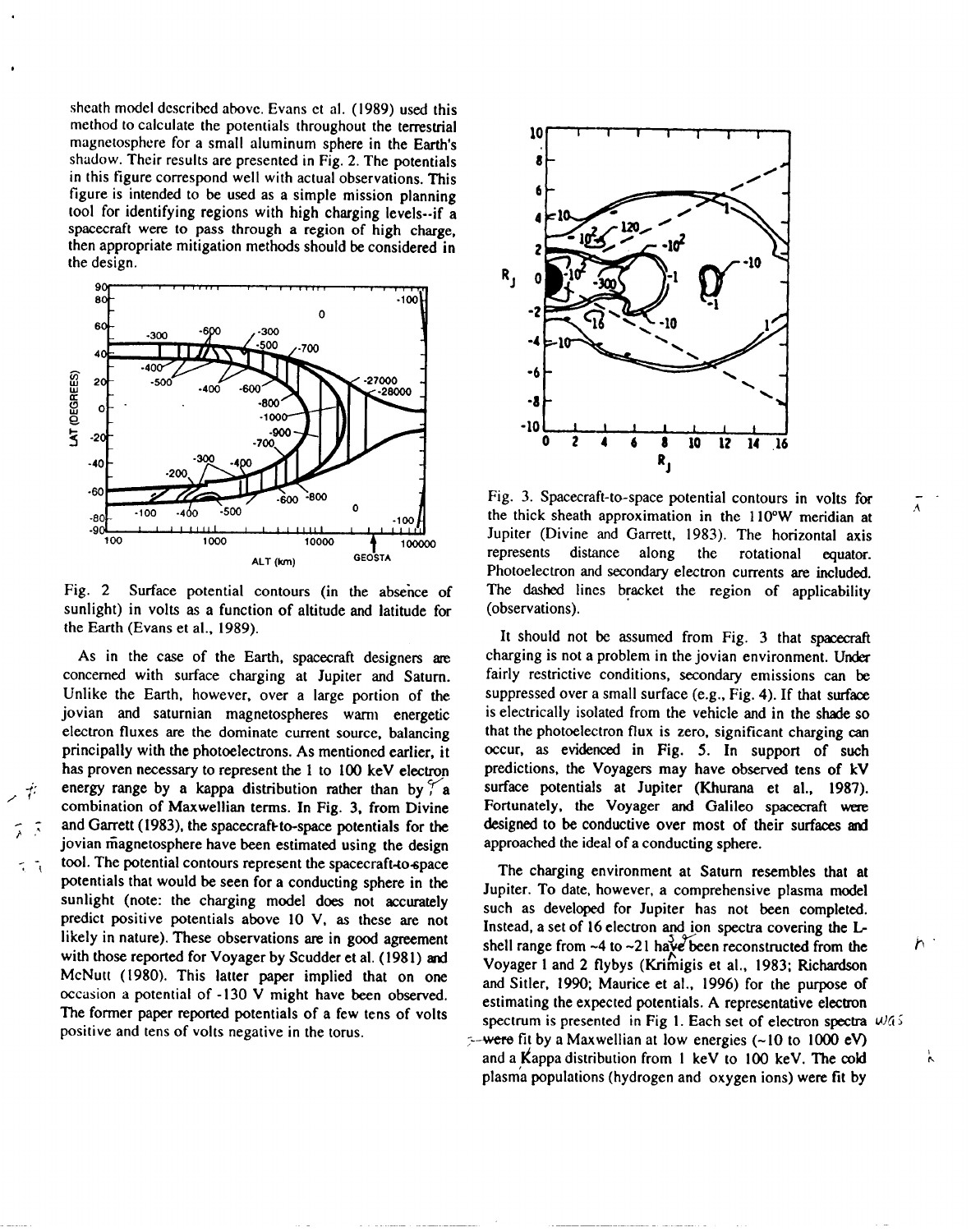sheath model dcscribcd above. Evans ct al. ( 1989) used this method to calculate the potentials throughout the terrestrial magnetosphere for a small aluminum sphere in the Earth's shadow. Their results are presented in Fig. 2. The potentials in this figure correspond well with actual observations. This figure is intended to be used as a simple mission planning tool for identifying regions with high charging levels--if a spacecraft were to pass through a region of high charge, then appropriate mitigation methods should be considered in the design.



Fig. 2 Surface potential contours (in the absehce of sunlight) in volts as a function of altitude and latitude for the Earth (Evans et al., 1989).

As in the case of the Earth, spacecraft designers are concerned with surface charging at Jupiter and Saturn. Unlike the Earth, however, over a large portion of the jovian and saturnian magnetospheres warm energetic electron fluxes are the dominate current source, balancing principally with the photoelectrons. As mentioned earlier, it has proven necessary to represent the 1 to 100 keV electron energy range by a kappa distribution rather than by  $\begin{bmatrix} 8 \\ 4 \end{bmatrix}$ combination of Maxwellian terms. In Fig. 3, from Divine and Garrett (1983), the spacecrafkto-space potentials for the jovian magnetosphere have been estimated using the design tool. The potential contours represent the spacecraft-to-space potentials that would be seen for a conducting sphere in the sunlight (note: the charging model does not accurately predict positive potentials above 10 V, as these are not likely in nature). These observations are in good agreement with those reported for Voyager by Scudder et al. (1981) and McNutt (1980). This latter paper implied that on one occasion a potential of -130 V might have been observed. The former paper reported potentials of a few tens of volts positive and tens of volts negative in the torus.



Fig. 3. Spacecraft-to-space potential contours in volts for the thick sheath approximation in the 110°W meridian at Jupiter (Divine and Garrett, 1983). The horizontal axis represents distance along the rotational equator. Photoelectron and secondary electron currents are included. The dashed lines bracket the region of applicability (observations).

It should not be assumed from Fig. 3 that spacecraft charging is not a problem in the jovian environment. Under fairly restrictive conditions, secondary emissions can be suppressed over a small surface (e.g., Fig. 4). If that surface is electrically isolated from the vehicle and in the shade so that the photoelectron flux is zero, significant charging can occur, as evidenced in Fig. 5. In **support** of such predictions, the Voyagers may have observed tens of kV surface potentials at Jupiter (Khurana et al., 1987). Fortunately, the Voyager and Galileo spacecraft were designed to be conductive over most of their surfaces and approached the ideal of a conducting sphere.

The charging environment at Saturn resembles that at Jupiter. To date, however, a comprehensive plasma model such as developed for Jupiter has not been completed. Instead, a set of 16 electron and ion spectra covering the Lshell range from  $-4$  to  $-21$  have been reconstructed from the Voyager 1 and 2 flybys (Krimigis et al., 1983; Richardson and Sitler, 1990; Maurice et al., 1996) for the purpose of estimating the expected potentials. A representative electron spectrum is presented in Fig 1. Each set of electron spectra  $\omega$ 45  $\sim$ -were fit by a Maxwellian at low energies (~10 to 1000 eV) and a Kappa distribution from  $1 \text{ keV}$  to  $100 \text{ keV}$ . The cold plasma populations (hydrogen and oxygen ions) were fit by

 $\mathcal{F}$ 

 $\lambda$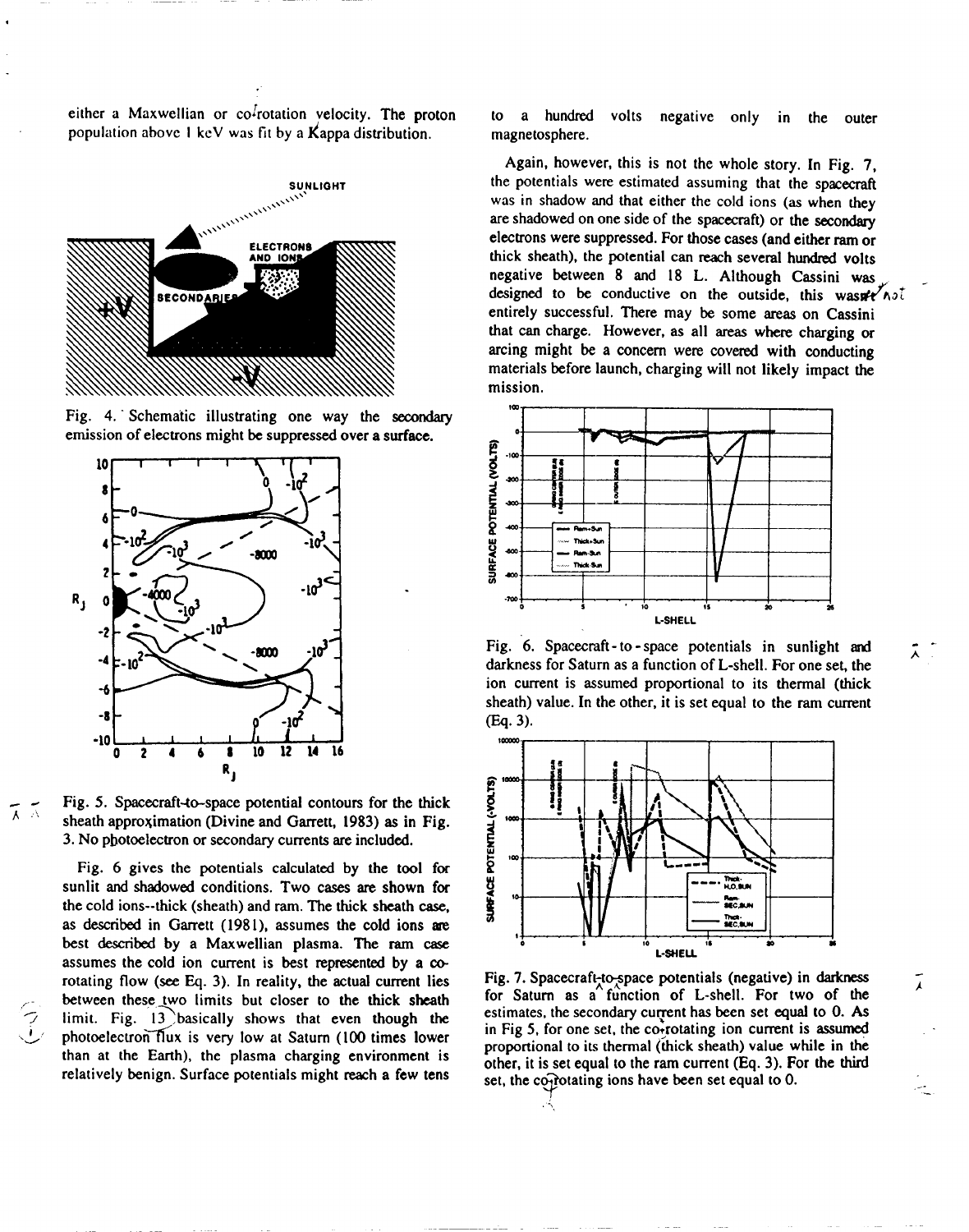either a Maxwellian or  $co<sup>2</sup>$ rotation velocity. The proton population above 1 keV was fit by a Kappa distribution.



Fig. 4. "Schematic illustrating one way the secondary emission of electrons might be suppressed over a surface.



 $\frac{1}{\sqrt{2}}$  Fig. 5. Spacecraft-to-space potential contours for the thick sheath approximation (Divine and Garrett, 1983) as in Fig. 3. No photoelectron or secondary currents are included.

Fig. 6 gives the potentials calculated by the tool for sunlit and shadowed conditions. Two cases are shown for the cold ions--thick (sheath) and ram. The thick sheath case, as described in Garrett (1981), assumes the cold ions are best described by a Maxwellian plasma. The ram case assumes the cold ion current is best represented by a co rotating flow (see Eq. 3). In reality, the actual current lies between these two limits but closer to the thick sheath limit. Fig.  $13$  basically shows that even though the photoelectron flux is very low at Saturn (100 times lower than at the Earth), the plasma charging environment is relatively benign. Surface potentials might reach a few tens to a hundred volts negative only in the outer magnetosphere.

Again, however, this is not the whole story. In Fig. 7, the potentials wem estimated assuming that the spacecraft was in shadow and that either the cold ions (as when they are shadowed on one side of the spacecraft) or the secondary electrons were suppressed. For those cases (and either ram or thick sheath), the potential can reach several hundred volts negative between 8 and 18 L. Although Cassini was designed to be conductive on the outside, this wasn't  $\lambda$ entirely successful. There may be some areas on Cassini that can charge. However, as all areas where charging or arcing might be a concern were covered with conducting materials before launch, charging will not likely impact the mission.



Fig. 6. Spacecraft-to-space potentials in sunlight and darkness for Saturn as a function of L-shell. For one set, the ion current is assumed proportional to its thermal (thick sheath) value. In the other, it is set equal to the ram current  $(Eq. 3)$ .



Fig. 7. Spacecraft-to-space potentials (negative) in darkness for Saturn as a function of L-shell. For two of the estimates, the secondary current has been set equal to  $0$ . As in Fig 5, for one set, the co-rotating ion current is assumed proportional to its thermal (thick sheath) value while in the other, it is set equal to the ram current (Eq. 3). For the third set, the confortating ions have been set equal to  $0$ . ?

 $\langle$ ,

--- --